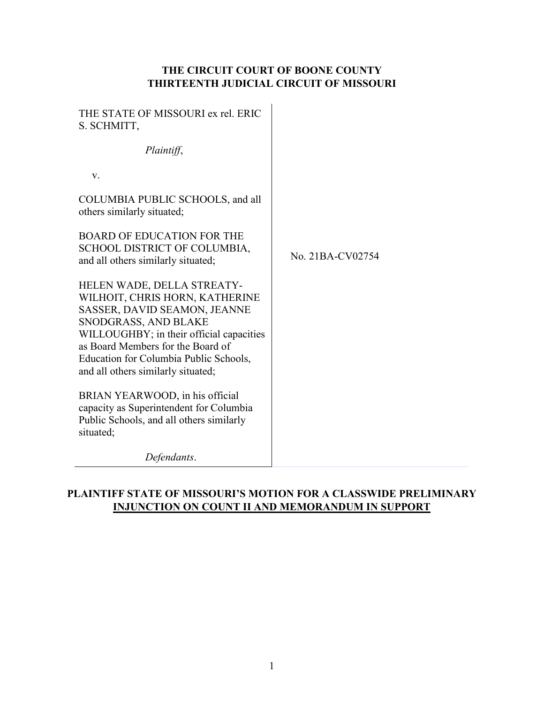# **THE CIRCUIT COURT OF BOONE COUNTY THIRTEENTH JUDICIAL CIRCUIT OF MISSOURI**

| THE STATE OF MISSOURI ex rel. ERIC<br>S. SCHMITT,                                                                                                                                                                                                                                     |                  |
|---------------------------------------------------------------------------------------------------------------------------------------------------------------------------------------------------------------------------------------------------------------------------------------|------------------|
| Plaintiff,                                                                                                                                                                                                                                                                            |                  |
| V.                                                                                                                                                                                                                                                                                    |                  |
| COLUMBIA PUBLIC SCHOOLS, and all<br>others similarly situated;                                                                                                                                                                                                                        |                  |
| <b>BOARD OF EDUCATION FOR THE</b><br>SCHOOL DISTRICT OF COLUMBIA,<br>and all others similarly situated;                                                                                                                                                                               | No. 21BA-CV02754 |
| HELEN WADE, DELLA STREATY-<br>WILHOIT, CHRIS HORN, KATHERINE<br>SASSER, DAVID SEAMON, JEANNE<br>SNODGRASS, AND BLAKE<br>WILLOUGHBY; in their official capacities<br>as Board Members for the Board of<br>Education for Columbia Public Schools,<br>and all others similarly situated; |                  |
| BRIAN YEARWOOD, in his official<br>capacity as Superintendent for Columbia<br>Public Schools, and all others similarly<br>situated;                                                                                                                                                   |                  |
| Defendants.                                                                                                                                                                                                                                                                           |                  |

# **PLAINTIFF STATE OF MISSOURI'S MOTION FOR A CLASSWIDE PRELIMINARY INJUNCTION ON COUNT II AND MEMORANDUM IN SUPPORT**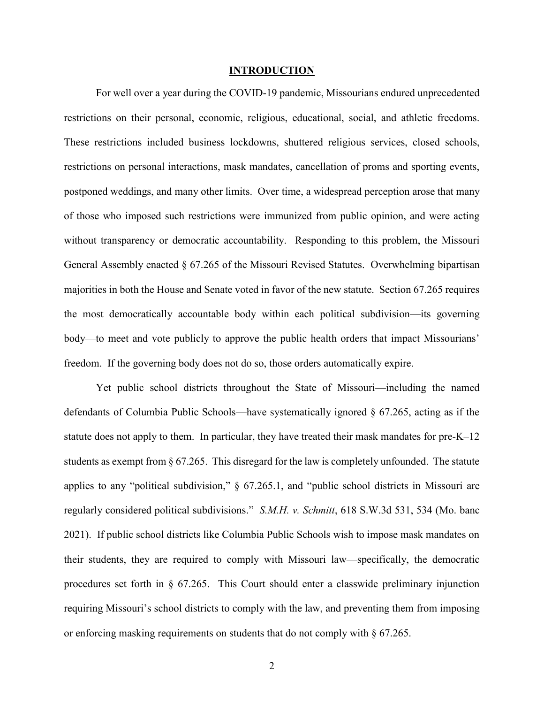## **INTRODUCTION**

For well over a year during the COVID-19 pandemic, Missourians endured unprecedented restrictions on their personal, economic, religious, educational, social, and athletic freedoms. These restrictions included business lockdowns, shuttered religious services, closed schools, restrictions on personal interactions, mask mandates, cancellation of proms and sporting events, postponed weddings, and many other limits. Over time, a widespread perception arose that many of those who imposed such restrictions were immunized from public opinion, and were acting without transparency or democratic accountability. Responding to this problem, the Missouri General Assembly enacted § 67.265 of the Missouri Revised Statutes. Overwhelming bipartisan majorities in both the House and Senate voted in favor of the new statute. Section 67.265 requires the most democratically accountable body within each political subdivision—its governing body—to meet and vote publicly to approve the public health orders that impact Missourians' freedom. If the governing body does not do so, those orders automatically expire.

Yet public school districts throughout the State of Missouri—including the named defendants of Columbia Public Schools—have systematically ignored § 67.265, acting as if the statute does not apply to them. In particular, they have treated their mask mandates for pre-K–12 students as exempt from § 67.265. This disregard for the law is completely unfounded. The statute applies to any "political subdivision,"  $\frac{6}{5}$  67.265.1, and "public school districts in Missouri are regularly considered political subdivisions." *S.M.H. v. Schmitt*, 618 S.W.3d 531, 534 (Mo. banc 2021). If public school districts like Columbia Public Schools wish to impose mask mandates on their students, they are required to comply with Missouri law—specifically, the democratic procedures set forth in § 67.265. This Court should enter a classwide preliminary injunction requiring Missouri's school districts to comply with the law, and preventing them from imposing or enforcing masking requirements on students that do not comply with  $\S 67.265$ .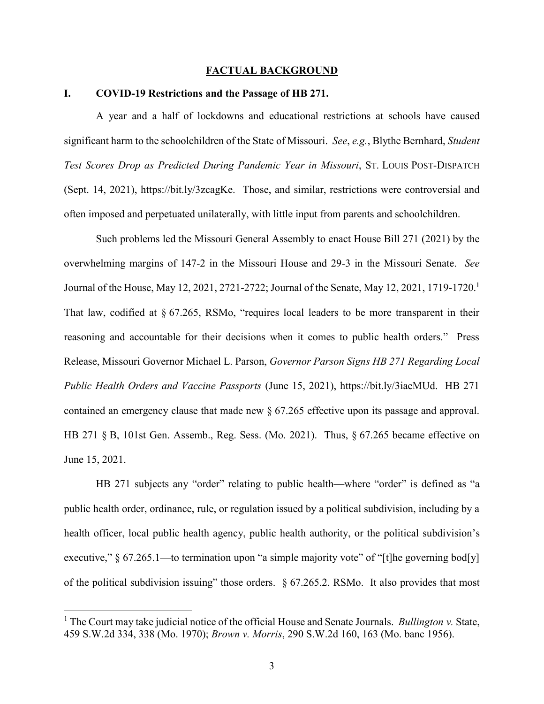## **FACTUAL BACKGROUND**

## **I. COVID-19 Restrictions and the Passage of HB 271.**

A year and a half of lockdowns and educational restrictions at schools have caused significant harm to the schoolchildren of the State of Missouri. *See*, *e.g.*, Blythe Bernhard, *Student Test Scores Drop as Predicted During Pandemic Year in Missouri*, ST. LOUIS POST-DISPATCH (Sept. 14, 2021), https://bit.ly/3zcagKe. Those, and similar, restrictions were controversial and often imposed and perpetuated unilaterally, with little input from parents and schoolchildren.

Such problems led the Missouri General Assembly to enact House Bill 271 (2021) by the overwhelming margins of 147-2 in the Missouri House and 29-3 in the Missouri Senate. *See*  Journal of the House, May 12, 2021, 2721-2722; Journal of the Senate, May 12, 2021, 1719-1720.<sup>1</sup> That law, codified at § 67.265, RSMo, "requires local leaders to be more transparent in their reasoning and accountable for their decisions when it comes to public health orders." Press Release, Missouri Governor Michael L. Parson, *Governor Parson Signs HB 271 Regarding Local Public Health Orders and Vaccine Passports* (June 15, 2021), https://bit.ly/3iaeMUd. HB 271 contained an emergency clause that made new § 67.265 effective upon its passage and approval. HB 271 § B, 101st Gen. Assemb., Reg. Sess. (Mo. 2021). Thus, § 67.265 became effective on June 15, 2021.

HB 271 subjects any "order" relating to public health—where "order" is defined as "a public health order, ordinance, rule, or regulation issued by a political subdivision, including by a health officer, local public health agency, public health authority, or the political subdivision's executive,"  $\S 67.265.1$ —to termination upon "a simple majority vote" of "[t]he governing bod[y] of the political subdivision issuing" those orders. § 67.265.2. RSMo. It also provides that most

 $\overline{a}$ 

<sup>1</sup> The Court may take judicial notice of the official House and Senate Journals. *Bullington v.* State, 459 S.W.2d 334, 338 (Mo. 1970); *Brown v. Morris*, 290 S.W.2d 160, 163 (Mo. banc 1956).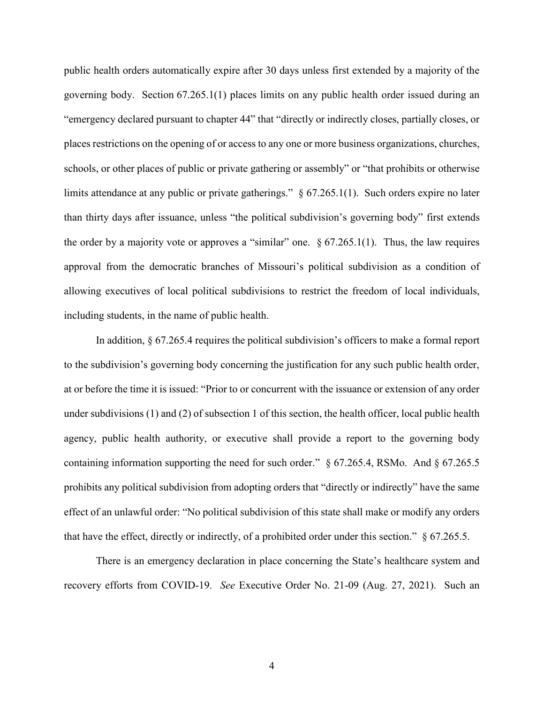public health orders automatically expire after 30 days unless first extended by a majority of the governing body. Section 67.265.1(1) places limits on any public health order issued during an "emergency declared pursuant to chapter 44" that "directly or indirectly closes, partially closes, or places restrictions on the opening of or access to any one or more business organizations, churches, schools, or other places of public or private gathering or assembly" or "that prohibits or otherwise limits attendance at any public or private gatherings." § 67.265.1(1). Such orders expire no later than thirty days after issuance, unless "the political subdivision's governing body" first extends the order by a majority vote or approves a "similar" one.  $\S 67.265.1(1)$ . Thus, the law requires approval from the democratic branches of Missouri's political subdivision as a condition of allowing executives of local political subdivisions to restrict the freedom of local individuals, including students, in the name of public health.

In addition, § 67.265.4 requires the political subdivision's officers to make a formal report to the subdivision's governing body concerning the justification for any such public health order, at or before the time it is issued: "Prior to or concurrent with the issuance or extension of any order under subdivisions (1) and (2) of subsection 1 of this section, the health officer, local public health agency, public health authority, or executive shall provide a report to the governing body containing information supporting the need for such order." § 67.265.4, RSMo. And § 67.265.5 prohibits any political subdivision from adopting orders that "directly or indirectly" have the same effect of an unlawful order: "No political subdivision of this state shall make or modify any orders that have the effect, directly or indirectly, of a prohibited order under this section." § 67.265.5.

There is an emergency declaration in place concerning the State's healthcare system and recovery efforts from COVID-19. *See* Executive Order No. 21-09 (Aug. 27, 2021). Such an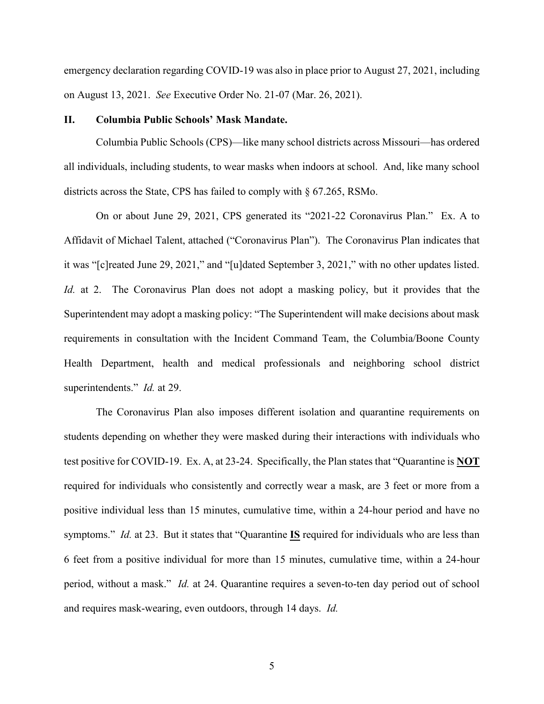emergency declaration regarding COVID-19 was also in place prior to August 27, 2021, including on August 13, 2021. *See* Executive Order No. 21-07 (Mar. 26, 2021).

#### **II. Columbia Public Schools' Mask Mandate.**

Columbia Public Schools (CPS)—like many school districts across Missouri—has ordered all individuals, including students, to wear masks when indoors at school. And, like many school districts across the State, CPS has failed to comply with § 67.265, RSMo.

On or about June 29, 2021, CPS generated its "2021-22 Coronavirus Plan." Ex. A to Affidavit of Michael Talent, attached ("Coronavirus Plan"). The Coronavirus Plan indicates that it was "[c]reated June 29, 2021," and "[u]dated September 3, 2021," with no other updates listed. *Id.* at 2. The Coronavirus Plan does not adopt a masking policy, but it provides that the Superintendent may adopt a masking policy: "The Superintendent will make decisions about mask requirements in consultation with the Incident Command Team, the Columbia/Boone County Health Department, health and medical professionals and neighboring school district superintendents." *Id.* at 29.

The Coronavirus Plan also imposes different isolation and quarantine requirements on students depending on whether they were masked during their interactions with individuals who test positive for COVID-19. Ex. A, at 23-24. Specifically, the Plan states that "Quarantine is **NOT** required for individuals who consistently and correctly wear a mask, are 3 feet or more from a positive individual less than 15 minutes, cumulative time, within a 24-hour period and have no symptoms." *Id.* at 23. But it states that "Quarantine **IS** required for individuals who are less than 6 feet from a positive individual for more than 15 minutes, cumulative time, within a 24-hour period, without a mask." *Id.* at 24. Quarantine requires a seven-to-ten day period out of school and requires mask-wearing, even outdoors, through 14 days. *Id.*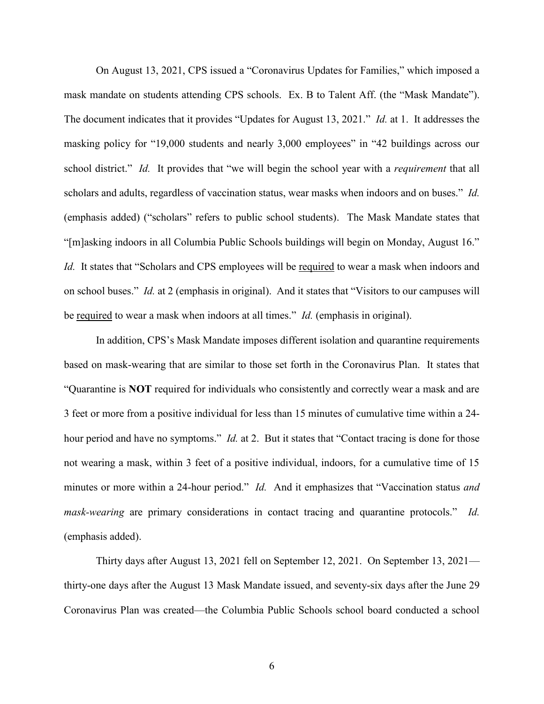On August 13, 2021, CPS issued a "Coronavirus Updates for Families," which imposed a mask mandate on students attending CPS schools. Ex. B to Talent Aff. (the "Mask Mandate"). The document indicates that it provides "Updates for August 13, 2021." *Id.* at 1. It addresses the masking policy for "19,000 students and nearly 3,000 employees" in "42 buildings across our school district." *Id.* It provides that "we will begin the school year with a *requirement* that all scholars and adults, regardless of vaccination status, wear masks when indoors and on buses." *Id.* (emphasis added) ("scholars" refers to public school students). The Mask Mandate states that "[m]asking indoors in all Columbia Public Schools buildings will begin on Monday, August 16." *Id.* It states that "Scholars and CPS employees will be required to wear a mask when indoors and on school buses." *Id.* at 2 (emphasis in original). And it states that "Visitors to our campuses will be required to wear a mask when indoors at all times." *Id.* (emphasis in original).

In addition, CPS's Mask Mandate imposes different isolation and quarantine requirements based on mask-wearing that are similar to those set forth in the Coronavirus Plan. It states that "Quarantine is **NOT** required for individuals who consistently and correctly wear a mask and are 3 feet or more from a positive individual for less than 15 minutes of cumulative time within a 24 hour period and have no symptoms." *Id.* at 2. But it states that "Contact tracing is done for those not wearing a mask, within 3 feet of a positive individual, indoors, for a cumulative time of 15 minutes or more within a 24-hour period." *Id.* And it emphasizes that "Vaccination status *and mask-wearing* are primary considerations in contact tracing and quarantine protocols." *Id.* (emphasis added).

Thirty days after August 13, 2021 fell on September 12, 2021. On September 13, 2021 thirty-one days after the August 13 Mask Mandate issued, and seventy-six days after the June 29 Coronavirus Plan was created—the Columbia Public Schools school board conducted a school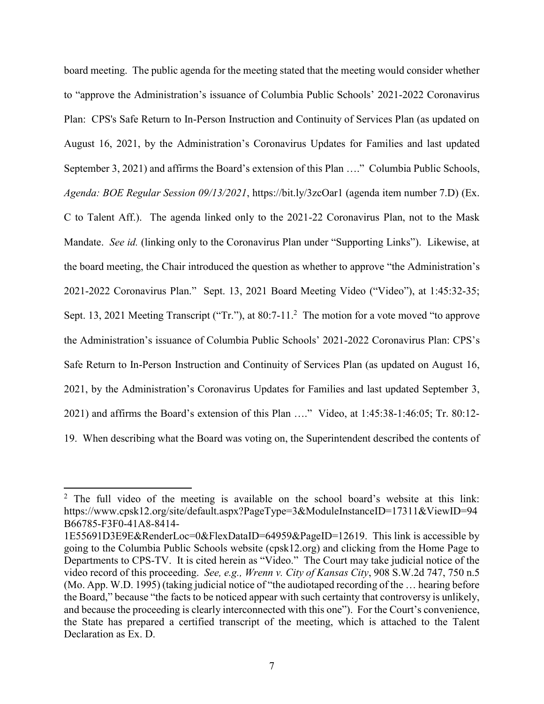board meeting. The public agenda for the meeting stated that the meeting would consider whether to "approve the Administration's issuance of Columbia Public Schools' 2021-2022 Coronavirus Plan: CPS's Safe Return to In-Person Instruction and Continuity of Services Plan (as updated on August 16, 2021, by the Administration's Coronavirus Updates for Families and last updated September 3, 2021) and affirms the Board's extension of this Plan …." Columbia Public Schools, *Agenda: BOE Regular Session 09/13/2021*, https://bit.ly/3zcOar1 (agenda item number 7.D) (Ex. C to Talent Aff.). The agenda linked only to the 2021-22 Coronavirus Plan, not to the Mask Mandate. *See id.* (linking only to the Coronavirus Plan under "Supporting Links"). Likewise, at the board meeting, the Chair introduced the question as whether to approve "the Administration's 2021-2022 Coronavirus Plan." Sept. 13, 2021 Board Meeting Video ("Video"), at 1:45:32-35; Sept. 13, 2021 Meeting Transcript ("Tr."), at 80:7-11.<sup>2</sup> The motion for a vote moved "to approve the Administration's issuance of Columbia Public Schools' 2021-2022 Coronavirus Plan: CPS's Safe Return to In-Person Instruction and Continuity of Services Plan (as updated on August 16, 2021, by the Administration's Coronavirus Updates for Families and last updated September 3, 2021) and affirms the Board's extension of this Plan …." Video, at 1:45:38-1:46:05; Tr. 80:12- 19. When describing what the Board was voting on, the Superintendent described the contents of

 $\overline{\phantom{a}}$ 

 $2$  The full video of the meeting is available on the school board's website at this link: https://www.cpsk12.org/site/default.aspx?PageType=3&ModuleInstanceID=17311&ViewID=94 B66785-F3F0-41A8-8414-

<sup>1</sup>E55691D3E9E&RenderLoc=0&FlexDataID=64959&PageID=12619. This link is accessible by going to the Columbia Public Schools website (cpsk12.org) and clicking from the Home Page to Departments to CPS-TV. It is cited herein as "Video." The Court may take judicial notice of the video record of this proceeding. *See, e.g., Wrenn v. City of Kansas City*, 908 S.W.2d 747, 750 n.5 (Mo. App. W.D. 1995) (taking judicial notice of "the audiotaped recording of the … hearing before the Board," because "the facts to be noticed appear with such certainty that controversy is unlikely, and because the proceeding is clearly interconnected with this one"). For the Court's convenience, the State has prepared a certified transcript of the meeting, which is attached to the Talent Declaration as Ex. D.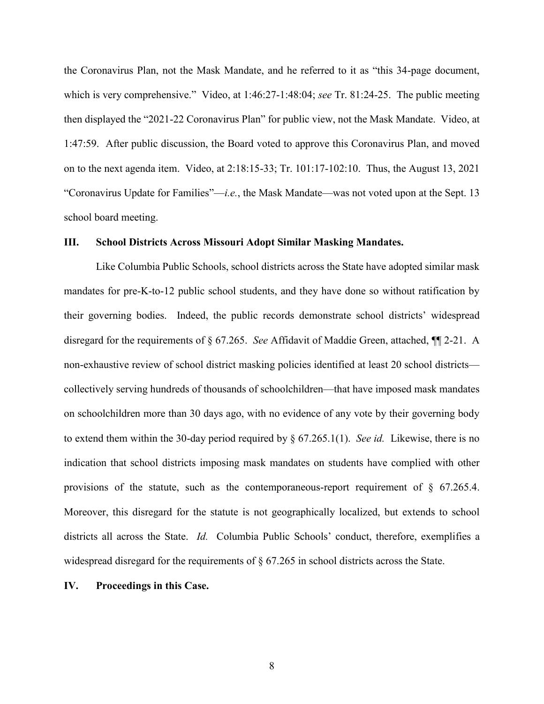the Coronavirus Plan, not the Mask Mandate, and he referred to it as "this 34-page document, which is very comprehensive." Video, at 1:46:27-1:48:04; *see* Tr. 81:24-25. The public meeting then displayed the "2021-22 Coronavirus Plan" for public view, not the Mask Mandate. Video, at 1:47:59. After public discussion, the Board voted to approve this Coronavirus Plan, and moved on to the next agenda item. Video, at 2:18:15-33; Tr. 101:17-102:10. Thus, the August 13, 2021 "Coronavirus Update for Families"—*i.e.*, the Mask Mandate—was not voted upon at the Sept. 13 school board meeting.

## **III. School Districts Across Missouri Adopt Similar Masking Mandates.**

Like Columbia Public Schools, school districts across the State have adopted similar mask mandates for pre-K-to-12 public school students, and they have done so without ratification by their governing bodies. Indeed, the public records demonstrate school districts' widespread disregard for the requirements of § 67.265. *See* Affidavit of Maddie Green, attached, ¶¶ 2-21. A non-exhaustive review of school district masking policies identified at least 20 school districts collectively serving hundreds of thousands of schoolchildren—that have imposed mask mandates on schoolchildren more than 30 days ago, with no evidence of any vote by their governing body to extend them within the 30-day period required by § 67.265.1(1). *See id.* Likewise, there is no indication that school districts imposing mask mandates on students have complied with other provisions of the statute, such as the contemporaneous-report requirement of § 67.265.4. Moreover, this disregard for the statute is not geographically localized, but extends to school districts all across the State. *Id.* Columbia Public Schools' conduct, therefore, exemplifies a widespread disregard for the requirements of § 67.265 in school districts across the State.

## **IV. Proceedings in this Case.**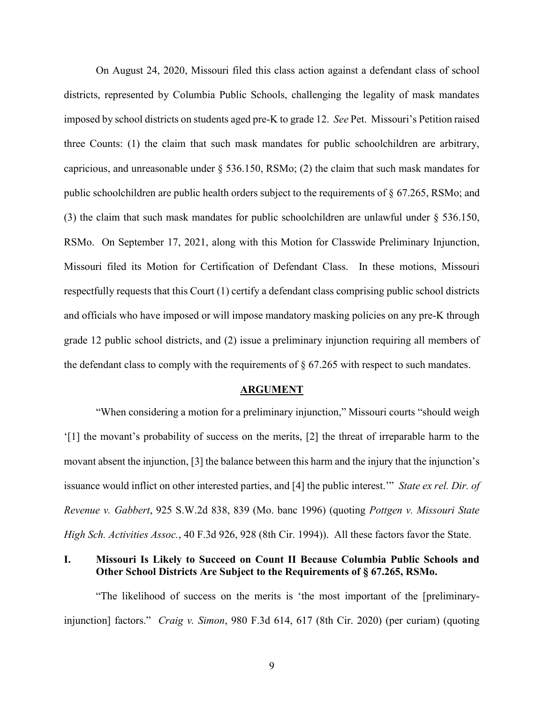On August 24, 2020, Missouri filed this class action against a defendant class of school districts, represented by Columbia Public Schools, challenging the legality of mask mandates imposed by school districts on students aged pre-K to grade 12. *See* Pet. Missouri's Petition raised three Counts: (1) the claim that such mask mandates for public schoolchildren are arbitrary, capricious, and unreasonable under § 536.150, RSMo; (2) the claim that such mask mandates for public schoolchildren are public health orders subject to the requirements of § 67.265, RSMo; and (3) the claim that such mask mandates for public schoolchildren are unlawful under § 536.150, RSMo. On September 17, 2021, along with this Motion for Classwide Preliminary Injunction, Missouri filed its Motion for Certification of Defendant Class. In these motions, Missouri respectfully requests that this Court (1) certify a defendant class comprising public school districts and officials who have imposed or will impose mandatory masking policies on any pre-K through grade 12 public school districts, and (2) issue a preliminary injunction requiring all members of the defendant class to comply with the requirements of § 67.265 with respect to such mandates.

#### **ARGUMENT**

"When considering a motion for a preliminary injunction," Missouri courts "should weigh '[1] the movant's probability of success on the merits, [2] the threat of irreparable harm to the movant absent the injunction, [3] the balance between this harm and the injury that the injunction's issuance would inflict on other interested parties, and [4] the public interest.'" *State ex rel. Dir. of Revenue v. Gabbert*, 925 S.W.2d 838, 839 (Mo. banc 1996) (quoting *Pottgen v. Missouri State High Sch. Activities Assoc.*, 40 F.3d 926, 928 (8th Cir. 1994)). All these factors favor the State.

## **I. Missouri Is Likely to Succeed on Count II Because Columbia Public Schools and Other School Districts Are Subject to the Requirements of § 67.265, RSMo.**

"The likelihood of success on the merits is 'the most important of the [preliminaryinjunction] factors." *Craig v. Simon*, 980 F.3d 614, 617 (8th Cir. 2020) (per curiam) (quoting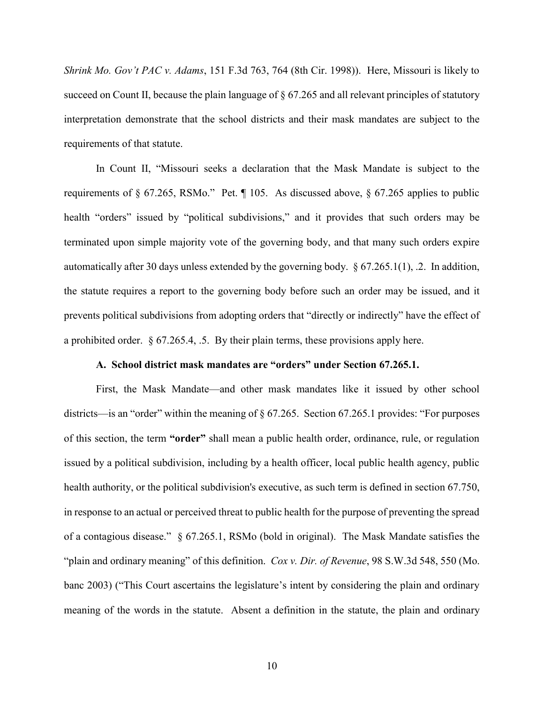*Shrink Mo. Gov't PAC v. Adams*, 151 F.3d 763, 764 (8th Cir. 1998)). Here, Missouri is likely to succeed on Count II, because the plain language of § 67.265 and all relevant principles of statutory interpretation demonstrate that the school districts and their mask mandates are subject to the requirements of that statute.

In Count II, "Missouri seeks a declaration that the Mask Mandate is subject to the requirements of § 67.265, RSMo." Pet. ¶ 105. As discussed above, § 67.265 applies to public health "orders" issued by "political subdivisions," and it provides that such orders may be terminated upon simple majority vote of the governing body, and that many such orders expire automatically after 30 days unless extended by the governing body. § 67.265.1(1), .2. In addition, the statute requires a report to the governing body before such an order may be issued, and it prevents political subdivisions from adopting orders that "directly or indirectly" have the effect of a prohibited order. § 67.265.4, .5. By their plain terms, these provisions apply here.

## **A. School district mask mandates are "orders" under Section 67.265.1.**

First, the Mask Mandate—and other mask mandates like it issued by other school districts—is an "order" within the meaning of § 67.265. Section 67.265.1 provides: "For purposes of this section, the term **"order"** shall mean a public health order, ordinance, rule, or regulation issued by a political subdivision, including by a health officer, local public health agency, public health authority, or the political subdivision's executive, as such term is defined in section 67.750, in response to an actual or perceived threat to public health for the purpose of preventing the spread of a contagious disease." § 67.265.1, RSMo (bold in original). The Mask Mandate satisfies the "plain and ordinary meaning" of this definition. *Cox v. Dir. of Revenue*, 98 S.W.3d 548, 550 (Mo. banc 2003) ("This Court ascertains the legislature's intent by considering the plain and ordinary meaning of the words in the statute. Absent a definition in the statute, the plain and ordinary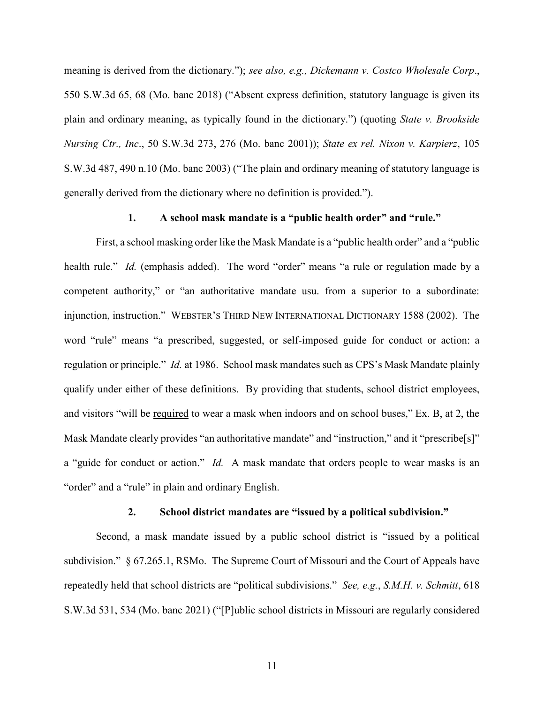meaning is derived from the dictionary."); *see also, e.g., Dickemann v. Costco Wholesale Corp*., 550 S.W.3d 65, 68 (Mo. banc 2018) ("Absent express definition, statutory language is given its plain and ordinary meaning, as typically found in the dictionary.") (quoting *State v. Brookside Nursing Ctr., Inc*., 50 S.W.3d 273, 276 (Mo. banc 2001)); *State ex rel. Nixon v. Karpierz*, 105 S.W.3d 487, 490 n.10 (Mo. banc 2003) ("The plain and ordinary meaning of statutory language is generally derived from the dictionary where no definition is provided.").

## **1. A school mask mandate is a "public health order" and "rule."**

First, a school masking order like the Mask Mandate is a "public health order" and a "public health rule." *Id.* (emphasis added). The word "order" means "a rule or regulation made by a competent authority," or "an authoritative mandate usu. from a superior to a subordinate: injunction, instruction." WEBSTER'S THIRD NEW INTERNATIONAL DICTIONARY 1588 (2002). The word "rule" means "a prescribed, suggested, or self-imposed guide for conduct or action: a regulation or principle." *Id.* at 1986. School mask mandates such as CPS's Mask Mandate plainly qualify under either of these definitions. By providing that students, school district employees, and visitors "will be required to wear a mask when indoors and on school buses," Ex. B, at 2, the Mask Mandate clearly provides "an authoritative mandate" and "instruction," and it "prescribe[s]" a "guide for conduct or action." *Id.* A mask mandate that orders people to wear masks is an "order" and a "rule" in plain and ordinary English.

#### **2. School district mandates are "issued by a political subdivision."**

Second, a mask mandate issued by a public school district is "issued by a political subdivision." § 67.265.1, RSMo. The Supreme Court of Missouri and the Court of Appeals have repeatedly held that school districts are "political subdivisions." *See, e.g.*, *S.M.H. v. Schmitt*, 618 S.W.3d 531, 534 (Mo. banc 2021) ("[P]ublic school districts in Missouri are regularly considered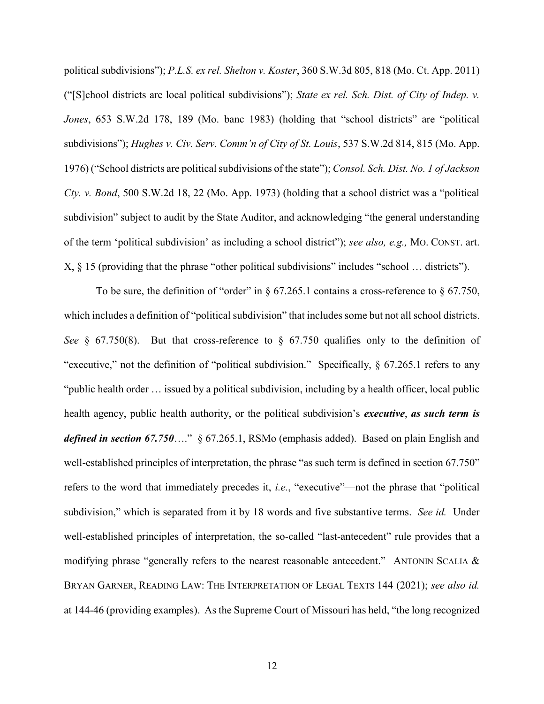political subdivisions"); *P.L.S. ex rel. Shelton v. Koster*, 360 S.W.3d 805, 818 (Mo. Ct. App. 2011) ("[S]chool districts are local political subdivisions"); *State ex rel. Sch. Dist. of City of Indep. v. Jones*, 653 S.W.2d 178, 189 (Mo. banc 1983) (holding that "school districts" are "political subdivisions"); *Hughes v. Civ. Serv. Comm'n of City of St. Louis*, 537 S.W.2d 814, 815 (Mo. App. 1976) ("School districts are political subdivisions of the state"); *Consol. Sch. Dist. No. 1 of Jackson Cty. v. Bond*, 500 S.W.2d 18, 22 (Mo. App. 1973) (holding that a school district was a "political subdivision" subject to audit by the State Auditor, and acknowledging "the general understanding of the term 'political subdivision' as including a school district"); *see also, e.g.,* MO. CONST. art. X, § 15 (providing that the phrase "other political subdivisions" includes "school … districts").

To be sure, the definition of "order" in  $\S 67.265.1$  contains a cross-reference to  $\S 67.750$ , which includes a definition of "political subdivision" that includes some but not all school districts. *See* § 67.750(8). But that cross-reference to § 67.750 qualifies only to the definition of "executive," not the definition of "political subdivision." Specifically, § 67.265.1 refers to any "public health order … issued by a political subdivision, including by a health officer, local public health agency, public health authority, or the political subdivision's *executive*, *as such term is defined in section 67.750*…." § 67.265.1, RSMo (emphasis added). Based on plain English and well-established principles of interpretation, the phrase "as such term is defined in section 67.750" refers to the word that immediately precedes it, *i.e.*, "executive"—not the phrase that "political subdivision," which is separated from it by 18 words and five substantive terms. *See id.* Under well-established principles of interpretation, the so-called "last-antecedent" rule provides that a modifying phrase "generally refers to the nearest reasonable antecedent." ANTONIN SCALIA & BRYAN GARNER, READING LAW: THE INTERPRETATION OF LEGAL TEXTS 144 (2021); *see also id.* at 144-46 (providing examples). As the Supreme Court of Missouri has held, "the long recognized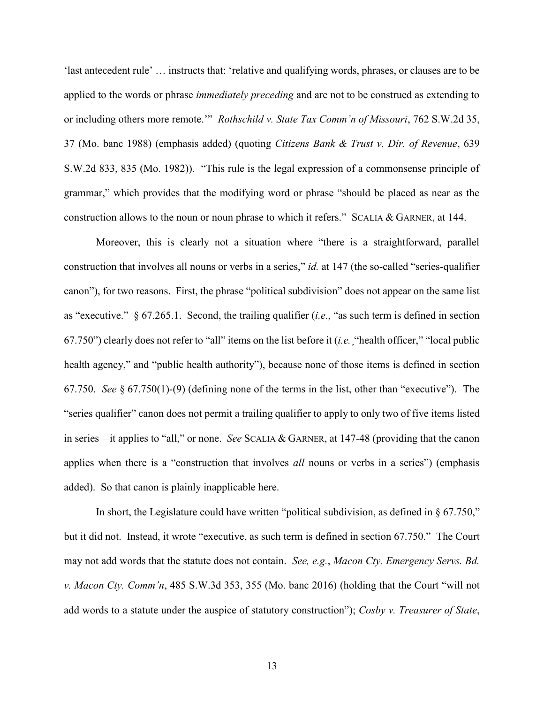'last antecedent rule' … instructs that: 'relative and qualifying words, phrases, or clauses are to be applied to the words or phrase *immediately preceding* and are not to be construed as extending to or including others more remote.'" *Rothschild v. State Tax Comm'n of Missouri*, 762 S.W.2d 35, 37 (Mo. banc 1988) (emphasis added) (quoting *Citizens Bank & Trust v. Dir. of Revenue*, 639 S.W.2d 833, 835 (Mo. 1982)). "This rule is the legal expression of a commonsense principle of grammar," which provides that the modifying word or phrase "should be placed as near as the construction allows to the noun or noun phrase to which it refers." SCALIA & GARNER, at 144.

Moreover, this is clearly not a situation where "there is a straightforward, parallel construction that involves all nouns or verbs in a series," *id.* at 147 (the so-called "series-qualifier canon"), for two reasons. First, the phrase "political subdivision" does not appear on the same list as "executive." § 67.265.1. Second, the trailing qualifier (*i.e.*, "as such term is defined in section 67.750") clearly does not refer to "all" items on the list before it (*i.e.*¸"health officer," "local public health agency," and "public health authority"), because none of those items is defined in section 67.750. *See* § 67.750(1)-(9) (defining none of the terms in the list, other than "executive"). The "series qualifier" canon does not permit a trailing qualifier to apply to only two of five items listed in series—it applies to "all," or none. *See* SCALIA & GARNER, at 147-48 (providing that the canon applies when there is a "construction that involves *all* nouns or verbs in a series") (emphasis added). So that canon is plainly inapplicable here.

In short, the Legislature could have written "political subdivision, as defined in § 67.750," but it did not. Instead, it wrote "executive, as such term is defined in section 67.750." The Court may not add words that the statute does not contain. *See, e.g.*, *Macon Cty. Emergency Servs. Bd. v. Macon Cty. Comm'n*, 485 S.W.3d 353, 355 (Mo. banc 2016) (holding that the Court "will not add words to a statute under the auspice of statutory construction"); *Cosby v. Treasurer of State*,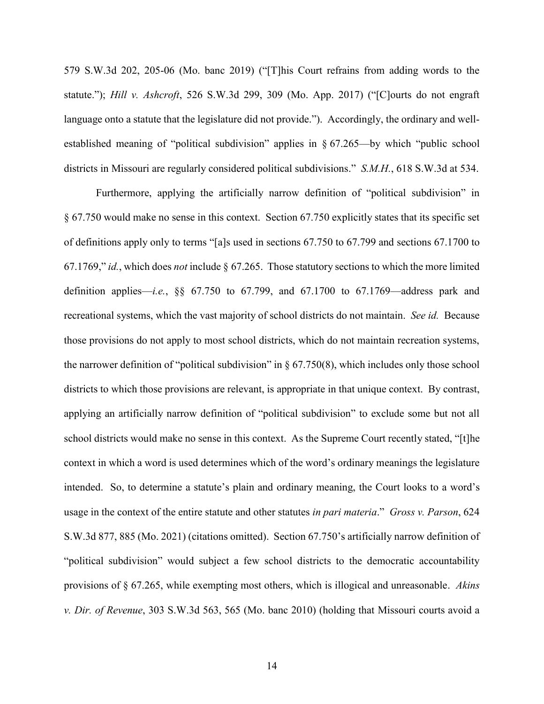579 S.W.3d 202, 205-06 (Mo. banc 2019) ("[T]his Court refrains from adding words to the statute."); *Hill v. Ashcroft*, 526 S.W.3d 299, 309 (Mo. App. 2017) ("[C]ourts do not engraft language onto a statute that the legislature did not provide."). Accordingly, the ordinary and wellestablished meaning of "political subdivision" applies in § 67.265—by which "public school districts in Missouri are regularly considered political subdivisions." *S.M.H.*, 618 S.W.3d at 534.

Furthermore, applying the artificially narrow definition of "political subdivision" in § 67.750 would make no sense in this context. Section 67.750 explicitly states that its specific set of definitions apply only to terms "[a]s used in sections 67.750 to 67.799 and sections 67.1700 to 67.1769," *id.*, which does *not* include § 67.265. Those statutory sections to which the more limited definition applies—*i.e.*, §§ 67.750 to 67.799, and 67.1700 to 67.1769—address park and recreational systems, which the vast majority of school districts do not maintain. *See id.* Because those provisions do not apply to most school districts, which do not maintain recreation systems, the narrower definition of "political subdivision" in  $\S 67.750(8)$ , which includes only those school districts to which those provisions are relevant, is appropriate in that unique context. By contrast, applying an artificially narrow definition of "political subdivision" to exclude some but not all school districts would make no sense in this context. As the Supreme Court recently stated, "[t]he context in which a word is used determines which of the word's ordinary meanings the legislature intended. So, to determine a statute's plain and ordinary meaning, the Court looks to a word's usage in the context of the entire statute and other statutes *in pari materia*." *Gross v. Parson*, 624 S.W.3d 877, 885 (Mo. 2021) (citations omitted). Section 67.750's artificially narrow definition of "political subdivision" would subject a few school districts to the democratic accountability provisions of § 67.265, while exempting most others, which is illogical and unreasonable. *Akins v. Dir. of Revenue*, 303 S.W.3d 563, 565 (Mo. banc 2010) (holding that Missouri courts avoid a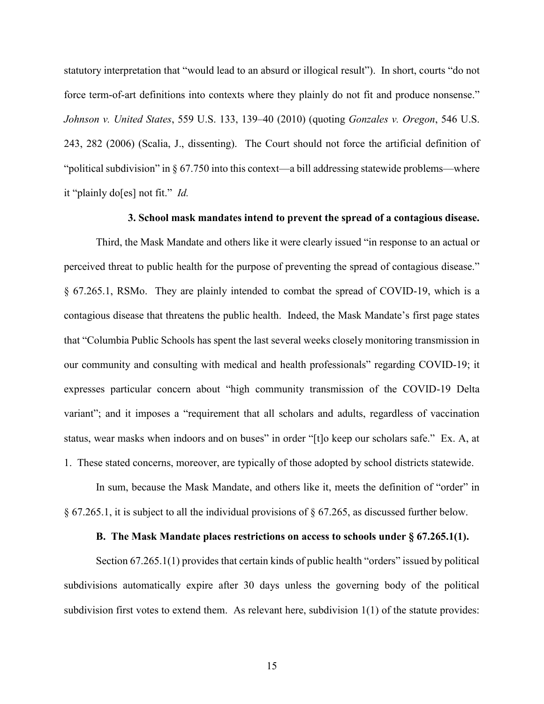statutory interpretation that "would lead to an absurd or illogical result"). In short, courts "do not force term-of-art definitions into contexts where they plainly do not fit and produce nonsense." *Johnson v. United States*, 559 U.S. 133, 139–40 (2010) (quoting *Gonzales v. Oregon*, 546 U.S. 243, 282 (2006) (Scalia, J., dissenting). The Court should not force the artificial definition of "political subdivision" in  $\S 67.750$  into this context—a bill addressing statewide problems—where it "plainly do[es] not fit." *Id.*

## **3. School mask mandates intend to prevent the spread of a contagious disease.**

Third, the Mask Mandate and others like it were clearly issued "in response to an actual or perceived threat to public health for the purpose of preventing the spread of contagious disease." § 67.265.1, RSMo. They are plainly intended to combat the spread of COVID-19, which is a contagious disease that threatens the public health. Indeed, the Mask Mandate's first page states that "Columbia Public Schools has spent the last several weeks closely monitoring transmission in our community and consulting with medical and health professionals" regarding COVID-19; it expresses particular concern about "high community transmission of the COVID-19 Delta variant"; and it imposes a "requirement that all scholars and adults, regardless of vaccination status, wear masks when indoors and on buses" in order "[t]o keep our scholars safe." Ex. A, at 1. These stated concerns, moreover, are typically of those adopted by school districts statewide.

In sum, because the Mask Mandate, and others like it, meets the definition of "order" in § 67.265.1, it is subject to all the individual provisions of § 67.265, as discussed further below.

## **B. The Mask Mandate places restrictions on access to schools under § 67.265.1(1).**

Section 67.265.1(1) provides that certain kinds of public health "orders" issued by political subdivisions automatically expire after 30 days unless the governing body of the political subdivision first votes to extend them. As relevant here, subdivision 1(1) of the statute provides: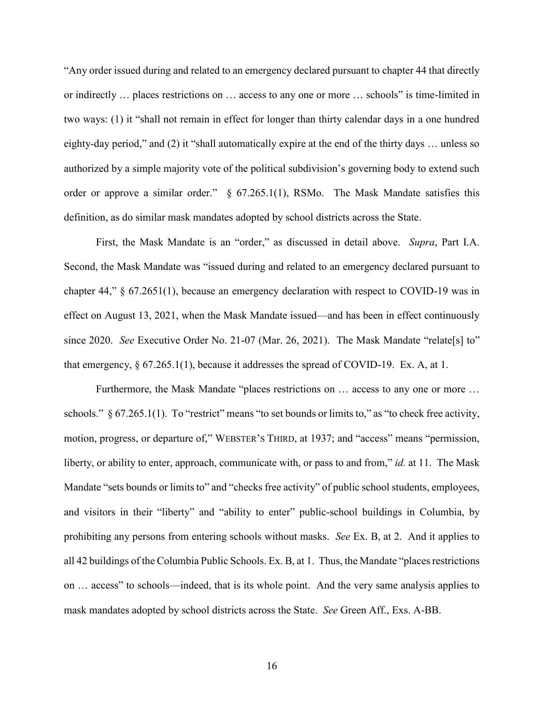"Any order issued during and related to an emergency declared pursuant to chapter 44 that directly or indirectly … places restrictions on … access to any one or more … schools" is time-limited in two ways: (1) it "shall not remain in effect for longer than thirty calendar days in a one hundred eighty-day period," and (2) it "shall automatically expire at the end of the thirty days … unless so authorized by a simple majority vote of the political subdivision's governing body to extend such order or approve a similar order." § 67.265.1(1), RSMo. The Mask Mandate satisfies this definition, as do similar mask mandates adopted by school districts across the State.

First, the Mask Mandate is an "order," as discussed in detail above. *Supra*, Part I.A. Second, the Mask Mandate was "issued during and related to an emergency declared pursuant to chapter 44," § 67.2651(1), because an emergency declaration with respect to COVID-19 was in effect on August 13, 2021, when the Mask Mandate issued—and has been in effect continuously since 2020. *See* Executive Order No. 21-07 (Mar. 26, 2021). The Mask Mandate "relate<sup>[s]</sup> to" that emergency, § 67.265.1(1), because it addresses the spread of COVID-19. Ex. A, at 1.

Furthermore, the Mask Mandate "places restrictions on … access to any one or more … schools." § 67.265.1(1). To "restrict" means "to set bounds or limits to," as "to check free activity, motion, progress, or departure of," WEBSTER'S THIRD, at 1937; and "access" means "permission, liberty, or ability to enter, approach, communicate with, or pass to and from," *id.* at 11. The Mask Mandate "sets bounds or limits to" and "checks free activity" of public school students, employees, and visitors in their "liberty" and "ability to enter" public-school buildings in Columbia, by prohibiting any persons from entering schools without masks. *See* Ex. B, at 2. And it applies to all 42 buildings of the Columbia Public Schools. Ex. B, at 1. Thus, the Mandate "places restrictions on … access" to schools—indeed, that is its whole point. And the very same analysis applies to mask mandates adopted by school districts across the State. *See* Green Aff., Exs. A-BB.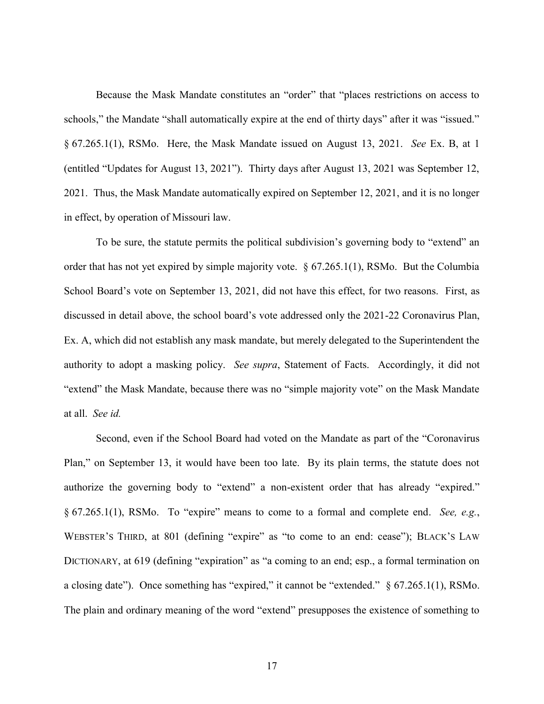Because the Mask Mandate constitutes an "order" that "places restrictions on access to schools," the Mandate "shall automatically expire at the end of thirty days" after it was "issued." § 67.265.1(1), RSMo. Here, the Mask Mandate issued on August 13, 2021. *See* Ex. B, at 1 (entitled "Updates for August 13, 2021"). Thirty days after August 13, 2021 was September 12, 2021. Thus, the Mask Mandate automatically expired on September 12, 2021, and it is no longer in effect, by operation of Missouri law.

To be sure, the statute permits the political subdivision's governing body to "extend" an order that has not yet expired by simple majority vote. § 67.265.1(1), RSMo. But the Columbia School Board's vote on September 13, 2021, did not have this effect, for two reasons. First, as discussed in detail above, the school board's vote addressed only the 2021-22 Coronavirus Plan, Ex. A, which did not establish any mask mandate, but merely delegated to the Superintendent the authority to adopt a masking policy. *See supra*, Statement of Facts. Accordingly, it did not "extend" the Mask Mandate, because there was no "simple majority vote" on the Mask Mandate at all. *See id.*

Second, even if the School Board had voted on the Mandate as part of the "Coronavirus Plan," on September 13, it would have been too late. By its plain terms, the statute does not authorize the governing body to "extend" a non-existent order that has already "expired." § 67.265.1(1), RSMo. To "expire" means to come to a formal and complete end. *See, e.g.*, WEBSTER'S THIRD, at 801 (defining "expire" as "to come to an end: cease"); BLACK'S LAW DICTIONARY, at 619 (defining "expiration" as "a coming to an end; esp., a formal termination on a closing date"). Once something has "expired," it cannot be "extended." § 67.265.1(1), RSMo. The plain and ordinary meaning of the word "extend" presupposes the existence of something to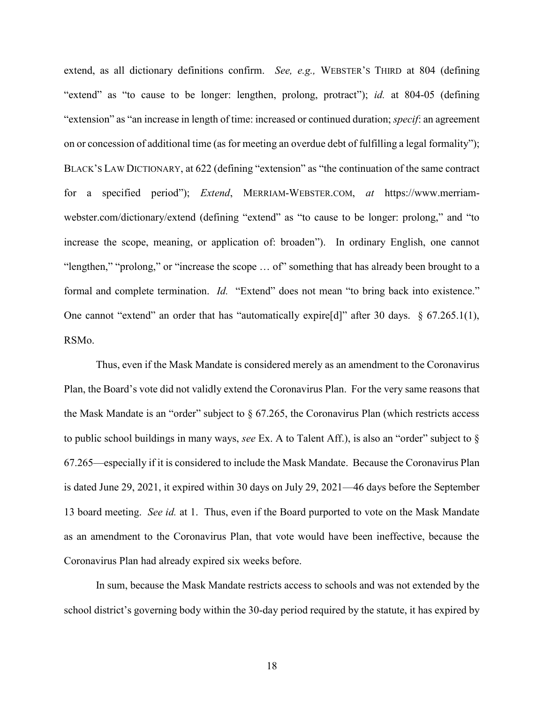extend, as all dictionary definitions confirm. *See, e.g.,* WEBSTER'S THIRD at 804 (defining "extend" as "to cause to be longer: lengthen, prolong, protract"); *id.* at 804-05 (defining "extension" as "an increase in length of time: increased or continued duration; *specif*: an agreement on or concession of additional time (as for meeting an overdue debt of fulfilling a legal formality"); BLACK'S LAW DICTIONARY, at 622 (defining "extension" as "the continuation of the same contract for a specified period"); *Extend*, MERRIAM-WEBSTER.COM, *at* https://www.merriamwebster.com/dictionary/extend (defining "extend" as "to cause to be longer: prolong," and "to increase the scope, meaning, or application of: broaden"). In ordinary English, one cannot "lengthen," "prolong," or "increase the scope … of" something that has already been brought to a formal and complete termination. *Id.* "Extend" does not mean "to bring back into existence." One cannot "extend" an order that has "automatically expire[d]" after 30 days. § 67.265.1(1), RSMo.

Thus, even if the Mask Mandate is considered merely as an amendment to the Coronavirus Plan, the Board's vote did not validly extend the Coronavirus Plan. For the very same reasons that the Mask Mandate is an "order" subject to  $\S$  67.265, the Coronavirus Plan (which restricts access to public school buildings in many ways, *see* Ex. A to Talent Aff.), is also an "order" subject to § 67.265—especially if it is considered to include the Mask Mandate. Because the Coronavirus Plan is dated June 29, 2021, it expired within 30 days on July 29, 2021—46 days before the September 13 board meeting. *See id.* at 1. Thus, even if the Board purported to vote on the Mask Mandate as an amendment to the Coronavirus Plan, that vote would have been ineffective, because the Coronavirus Plan had already expired six weeks before.

In sum, because the Mask Mandate restricts access to schools and was not extended by the school district's governing body within the 30-day period required by the statute, it has expired by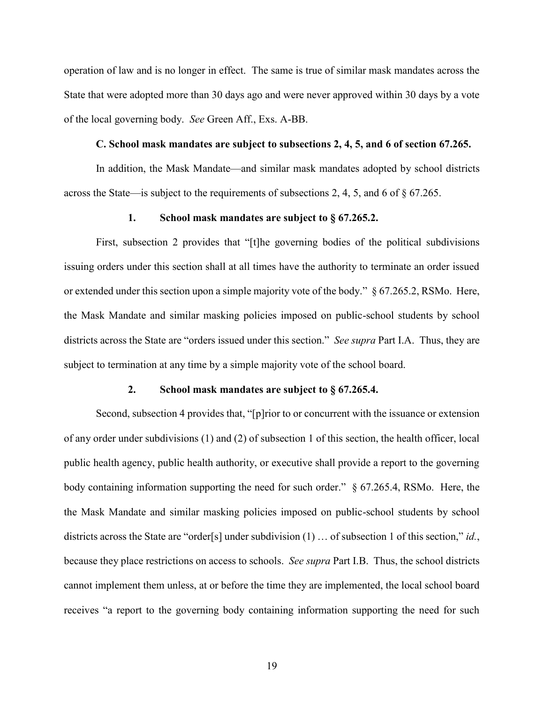operation of law and is no longer in effect. The same is true of similar mask mandates across the State that were adopted more than 30 days ago and were never approved within 30 days by a vote of the local governing body. *See* Green Aff., Exs. A-BB.

## **C. School mask mandates are subject to subsections 2, 4, 5, and 6 of section 67.265.**

In addition, the Mask Mandate—and similar mask mandates adopted by school districts across the State—is subject to the requirements of subsections 2, 4, 5, and 6 of § 67.265.

## **1. School mask mandates are subject to § 67.265.2.**

First, subsection 2 provides that "[t]he governing bodies of the political subdivisions issuing orders under this section shall at all times have the authority to terminate an order issued or extended under this section upon a simple majority vote of the body." § 67.265.2, RSMo. Here, the Mask Mandate and similar masking policies imposed on public-school students by school districts across the State are "orders issued under this section." *See supra* Part I.A. Thus, they are subject to termination at any time by a simple majority vote of the school board.

## **2. School mask mandates are subject to § 67.265.4.**

Second, subsection 4 provides that, "[p]rior to or concurrent with the issuance or extension of any order under subdivisions (1) and (2) of subsection 1 of this section, the health officer, local public health agency, public health authority, or executive shall provide a report to the governing body containing information supporting the need for such order." § 67.265.4, RSMo. Here, the the Mask Mandate and similar masking policies imposed on public-school students by school districts across the State are "order[s] under subdivision (1) … of subsection 1 of this section," *id.*, because they place restrictions on access to schools. *See supra* Part I.B. Thus, the school districts cannot implement them unless, at or before the time they are implemented, the local school board receives "a report to the governing body containing information supporting the need for such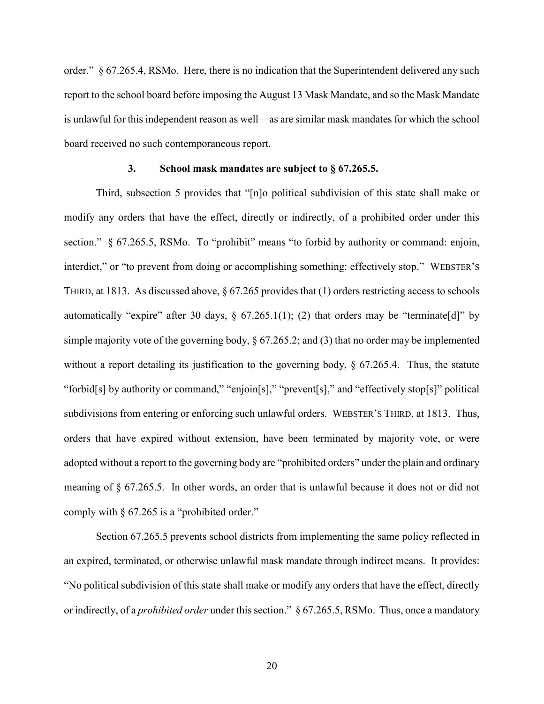order." § 67.265.4, RSMo. Here, there is no indication that the Superintendent delivered any such report to the school board before imposing the August 13 Mask Mandate, and so the Mask Mandate is unlawful for this independent reason as well—as are similar mask mandates for which the school board received no such contemporaneous report.

## **3. School mask mandates are subject to § 67.265.5.**

Third, subsection 5 provides that "[n]o political subdivision of this state shall make or modify any orders that have the effect, directly or indirectly, of a prohibited order under this section." § 67.265.5, RSMo. To "prohibit" means "to forbid by authority or command: enjoin, interdict," or "to prevent from doing or accomplishing something: effectively stop." WEBSTER's THIRD, at 1813. As discussed above, § 67.265 provides that (1) orders restricting access to schools automatically "expire" after 30 days,  $\S$  67.265.1(1); (2) that orders may be "terminate[d]" by simple majority vote of the governing body, § 67.265.2; and (3) that no order may be implemented without a report detailing its justification to the governing body, § 67.265.4. Thus, the statute "forbid[s] by authority or command," "enjoin[s]," "prevent[s]," and "effectively stop[s]" political subdivisions from entering or enforcing such unlawful orders. WEBSTER'S THIRD, at 1813. Thus, orders that have expired without extension, have been terminated by majority vote, or were adopted without a report to the governing body are "prohibited orders" under the plain and ordinary meaning of § 67.265.5. In other words, an order that is unlawful because it does not or did not comply with § 67.265 is a "prohibited order."

Section 67.265.5 prevents school districts from implementing the same policy reflected in an expired, terminated, or otherwise unlawful mask mandate through indirect means. It provides: "No political subdivision of this state shall make or modify any orders that have the effect, directly or indirectly, of a *prohibited order* under this section." § 67.265.5, RSMo. Thus, once a mandatory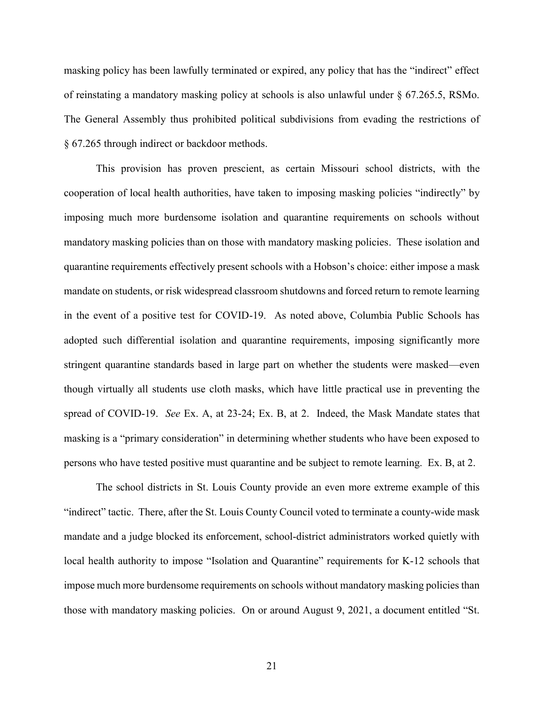masking policy has been lawfully terminated or expired, any policy that has the "indirect" effect of reinstating a mandatory masking policy at schools is also unlawful under § 67.265.5, RSMo. The General Assembly thus prohibited political subdivisions from evading the restrictions of § 67.265 through indirect or backdoor methods.

This provision has proven prescient, as certain Missouri school districts, with the cooperation of local health authorities, have taken to imposing masking policies "indirectly" by imposing much more burdensome isolation and quarantine requirements on schools without mandatory masking policies than on those with mandatory masking policies. These isolation and quarantine requirements effectively present schools with a Hobson's choice: either impose a mask mandate on students, or risk widespread classroom shutdowns and forced return to remote learning in the event of a positive test for COVID-19. As noted above, Columbia Public Schools has adopted such differential isolation and quarantine requirements, imposing significantly more stringent quarantine standards based in large part on whether the students were masked—even though virtually all students use cloth masks, which have little practical use in preventing the spread of COVID-19. *See* Ex. A, at 23-24; Ex. B, at 2. Indeed, the Mask Mandate states that masking is a "primary consideration" in determining whether students who have been exposed to persons who have tested positive must quarantine and be subject to remote learning. Ex. B, at 2.

The school districts in St. Louis County provide an even more extreme example of this "indirect" tactic. There, after the St. Louis County Council voted to terminate a county-wide mask mandate and a judge blocked its enforcement, school-district administrators worked quietly with local health authority to impose "Isolation and Quarantine" requirements for K-12 schools that impose much more burdensome requirements on schools without mandatory masking policies than those with mandatory masking policies. On or around August 9, 2021, a document entitled "St.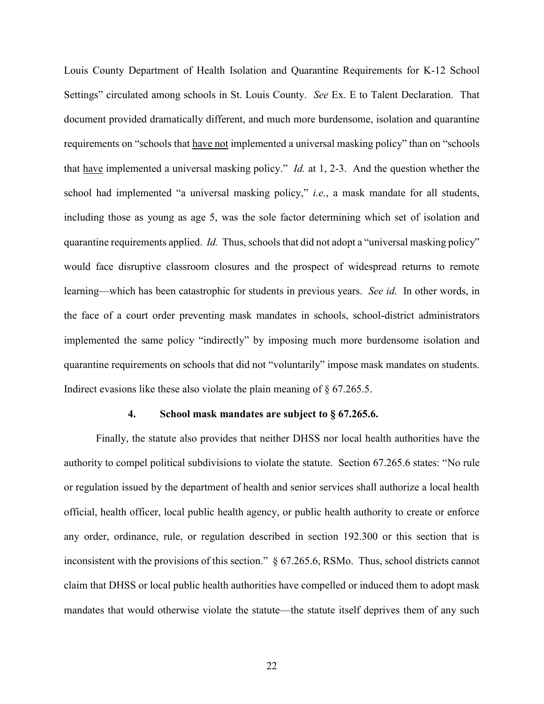Louis County Department of Health Isolation and Quarantine Requirements for K-12 School Settings" circulated among schools in St. Louis County. *See* Ex. E to Talent Declaration. That document provided dramatically different, and much more burdensome, isolation and quarantine requirements on "schools that have not implemented a universal masking policy" than on "schools that have implemented a universal masking policy." *Id.* at 1, 2-3. And the question whether the school had implemented "a universal masking policy," *i.e.*, a mask mandate for all students, including those as young as age 5, was the sole factor determining which set of isolation and quarantine requirements applied. *Id.* Thus, schools that did not adopt a "universal masking policy" would face disruptive classroom closures and the prospect of widespread returns to remote learning—which has been catastrophic for students in previous years. *See id.* In other words, in the face of a court order preventing mask mandates in schools, school-district administrators implemented the same policy "indirectly" by imposing much more burdensome isolation and quarantine requirements on schools that did not "voluntarily" impose mask mandates on students. Indirect evasions like these also violate the plain meaning of  $\S 67.265.5$ .

#### **4. School mask mandates are subject to § 67.265.6.**

Finally, the statute also provides that neither DHSS nor local health authorities have the authority to compel political subdivisions to violate the statute. Section 67.265.6 states: "No rule or regulation issued by the department of health and senior services shall authorize a local health official, health officer, local public health agency, or public health authority to create or enforce any order, ordinance, rule, or regulation described in section 192.300 or this section that is inconsistent with the provisions of this section." § 67.265.6, RSMo. Thus, school districts cannot claim that DHSS or local public health authorities have compelled or induced them to adopt mask mandates that would otherwise violate the statute—the statute itself deprives them of any such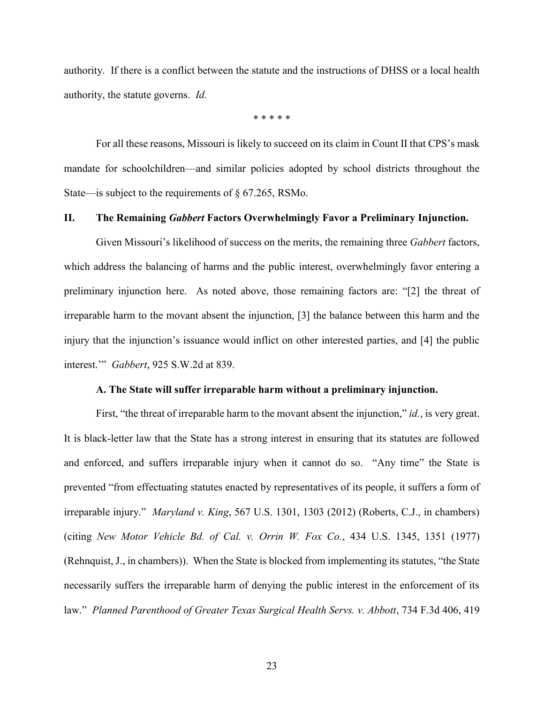authority. If there is a conflict between the statute and the instructions of DHSS or a local health authority, the statute governs. *Id.*

\* \* \* \* \*

For all these reasons, Missouri is likely to succeed on its claim in Count II that CPS's mask mandate for schoolchildren—and similar policies adopted by school districts throughout the State—is subject to the requirements of § 67.265, RSMo.

## **II. The Remaining** *Gabbert* **Factors Overwhelmingly Favor a Preliminary Injunction.**

Given Missouri's likelihood of success on the merits, the remaining three *Gabbert* factors, which address the balancing of harms and the public interest, overwhelmingly favor entering a preliminary injunction here. As noted above, those remaining factors are: "[2] the threat of irreparable harm to the movant absent the injunction, [3] the balance between this harm and the injury that the injunction's issuance would inflict on other interested parties, and [4] the public interest.'" *Gabbert*, 925 S.W.2d at 839.

#### **A. The State will suffer irreparable harm without a preliminary injunction.**

First, "the threat of irreparable harm to the movant absent the injunction," *id.*, is very great. It is black-letter law that the State has a strong interest in ensuring that its statutes are followed and enforced, and suffers irreparable injury when it cannot do so. "Any time" the State is prevented "from effectuating statutes enacted by representatives of its people, it suffers a form of irreparable injury." *Maryland v. King*, 567 U.S. 1301, 1303 (2012) (Roberts, C.J., in chambers) (citing *New Motor Vehicle Bd. of Cal. v. Orrin W. Fox Co.*, 434 U.S. 1345, 1351 (1977) (Rehnquist, J., in chambers)). When the State is blocked from implementing its statutes, "the State necessarily suffers the irreparable harm of denying the public interest in the enforcement of its law." *Planned Parenthood of Greater Texas Surgical Health Servs. v. Abbott*, 734 F.3d 406, 419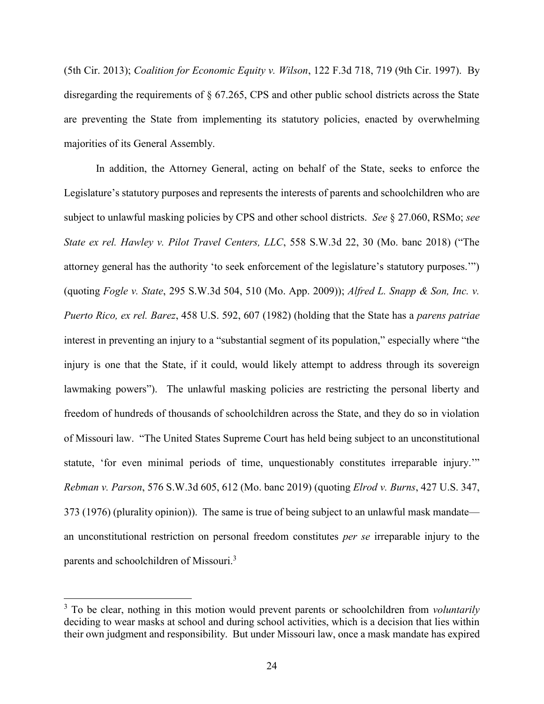(5th Cir. 2013); *Coalition for Economic Equity v. Wilson*, 122 F.3d 718, 719 (9th Cir. 1997). By disregarding the requirements of § 67.265, CPS and other public school districts across the State are preventing the State from implementing its statutory policies, enacted by overwhelming majorities of its General Assembly.

In addition, the Attorney General, acting on behalf of the State, seeks to enforce the Legislature's statutory purposes and represents the interests of parents and schoolchildren who are subject to unlawful masking policies by CPS and other school districts. *See* § 27.060, RSMo; *see State ex rel. Hawley v. Pilot Travel Centers, LLC*, 558 S.W.3d 22, 30 (Mo. banc 2018) ("The attorney general has the authority 'to seek enforcement of the legislature's statutory purposes.'") (quoting *Fogle v. State*, 295 S.W.3d 504, 510 (Mo. App. 2009)); *Alfred L. Snapp & Son, Inc. v. Puerto Rico, ex rel. Barez*, 458 U.S. 592, 607 (1982) (holding that the State has a *parens patriae* interest in preventing an injury to a "substantial segment of its population," especially where "the injury is one that the State, if it could, would likely attempt to address through its sovereign lawmaking powers"). The unlawful masking policies are restricting the personal liberty and freedom of hundreds of thousands of schoolchildren across the State, and they do so in violation of Missouri law. "The United States Supreme Court has held being subject to an unconstitutional statute, 'for even minimal periods of time, unquestionably constitutes irreparable injury.'" *Rebman v. Parson*, 576 S.W.3d 605, 612 (Mo. banc 2019) (quoting *Elrod v. Burns*, 427 U.S. 347, 373 (1976) (plurality opinion)). The same is true of being subject to an unlawful mask mandate an unconstitutional restriction on personal freedom constitutes *per se* irreparable injury to the parents and schoolchildren of Missouri.<sup>3</sup>

 $\overline{a}$ 

<sup>3</sup> To be clear, nothing in this motion would prevent parents or schoolchildren from *voluntarily* deciding to wear masks at school and during school activities, which is a decision that lies within their own judgment and responsibility. But under Missouri law, once a mask mandate has expired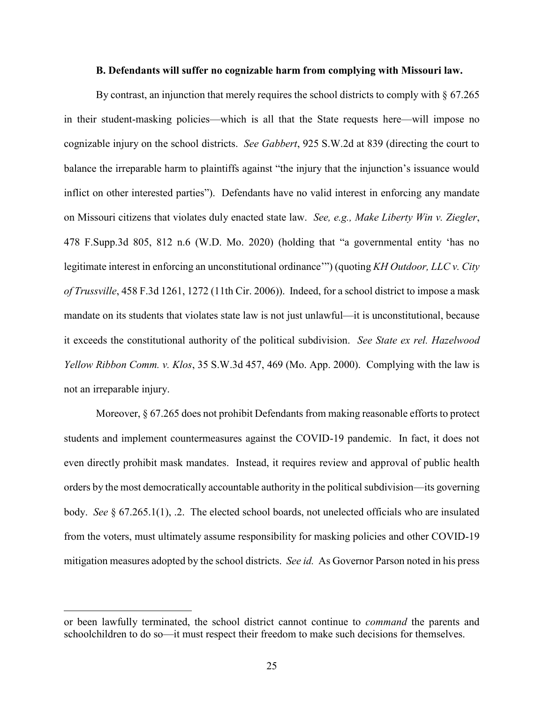## **B. Defendants will suffer no cognizable harm from complying with Missouri law.**

By contrast, an injunction that merely requires the school districts to comply with  $\S 67.265$ in their student-masking policies—which is all that the State requests here—will impose no cognizable injury on the school districts. *See Gabbert*, 925 S.W.2d at 839 (directing the court to balance the irreparable harm to plaintiffs against "the injury that the injunction's issuance would inflict on other interested parties"). Defendants have no valid interest in enforcing any mandate on Missouri citizens that violates duly enacted state law. *See, e.g., Make Liberty Win v. Ziegler*, 478 F.Supp.3d 805, 812 n.6 (W.D. Mo. 2020) (holding that "a governmental entity 'has no legitimate interest in enforcing an unconstitutional ordinance'") (quoting *KH Outdoor, LLC v. City of Trussville*, 458 F.3d 1261, 1272 (11th Cir. 2006)). Indeed, for a school district to impose a mask mandate on its students that violates state law is not just unlawful—it is unconstitutional, because it exceeds the constitutional authority of the political subdivision. *See State ex rel. Hazelwood Yellow Ribbon Comm. v. Klos*, 35 S.W.3d 457, 469 (Mo. App. 2000). Complying with the law is not an irreparable injury.

Moreover, § 67.265 does not prohibit Defendants from making reasonable efforts to protect students and implement countermeasures against the COVID-19 pandemic. In fact, it does not even directly prohibit mask mandates. Instead, it requires review and approval of public health orders by the most democratically accountable authority in the political subdivision—its governing body. *See* § 67.265.1(1), .2. The elected school boards, not unelected officials who are insulated from the voters, must ultimately assume responsibility for masking policies and other COVID-19 mitigation measures adopted by the school districts. *See id.* As Governor Parson noted in his press

 $\overline{a}$ 

or been lawfully terminated, the school district cannot continue to *command* the parents and schoolchildren to do so—it must respect their freedom to make such decisions for themselves.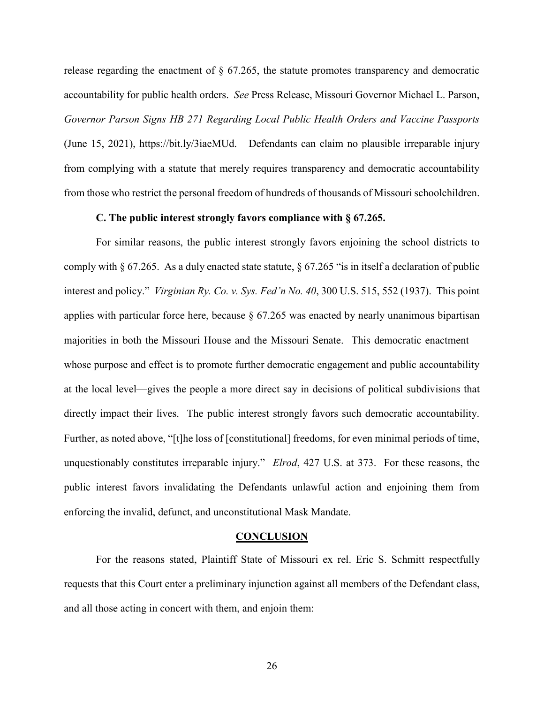release regarding the enactment of  $\S$  67.265, the statute promotes transparency and democratic accountability for public health orders. *See* Press Release, Missouri Governor Michael L. Parson, *Governor Parson Signs HB 271 Regarding Local Public Health Orders and Vaccine Passports* (June 15, 2021), https://bit.ly/3iaeMUd. Defendants can claim no plausible irreparable injury from complying with a statute that merely requires transparency and democratic accountability from those who restrict the personal freedom of hundreds of thousands of Missouri schoolchildren.

## **C. The public interest strongly favors compliance with § 67.265.**

For similar reasons, the public interest strongly favors enjoining the school districts to comply with § 67.265. As a duly enacted state statute, § 67.265 "is in itself a declaration of public interest and policy." *Virginian Ry. Co. v. Sys. Fed'n No. 40*, 300 U.S. 515, 552 (1937). This point applies with particular force here, because  $\S 67.265$  was enacted by nearly unanimous bipartisan majorities in both the Missouri House and the Missouri Senate. This democratic enactment whose purpose and effect is to promote further democratic engagement and public accountability at the local level—gives the people a more direct say in decisions of political subdivisions that directly impact their lives. The public interest strongly favors such democratic accountability. Further, as noted above, "[t]he loss of [constitutional] freedoms, for even minimal periods of time, unquestionably constitutes irreparable injury." *Elrod*, 427 U.S. at 373. For these reasons, the public interest favors invalidating the Defendants unlawful action and enjoining them from enforcing the invalid, defunct, and unconstitutional Mask Mandate.

## **CONCLUSION**

For the reasons stated, Plaintiff State of Missouri ex rel. Eric S. Schmitt respectfully requests that this Court enter a preliminary injunction against all members of the Defendant class, and all those acting in concert with them, and enjoin them:

26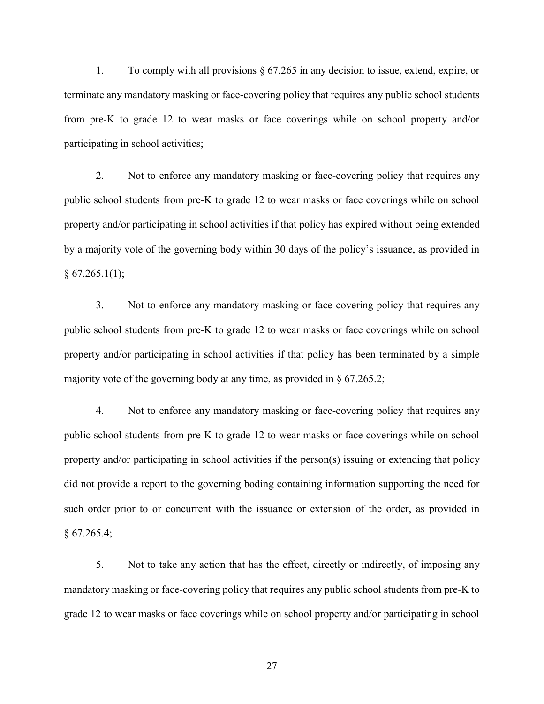1. To comply with all provisions § 67.265 in any decision to issue, extend, expire, or terminate any mandatory masking or face-covering policy that requires any public school students from pre-K to grade 12 to wear masks or face coverings while on school property and/or participating in school activities;

2. Not to enforce any mandatory masking or face-covering policy that requires any public school students from pre-K to grade 12 to wear masks or face coverings while on school property and/or participating in school activities if that policy has expired without being extended by a majority vote of the governing body within 30 days of the policy's issuance, as provided in  $§ 67.265.1(1);$ 

3. Not to enforce any mandatory masking or face-covering policy that requires any public school students from pre-K to grade 12 to wear masks or face coverings while on school property and/or participating in school activities if that policy has been terminated by a simple majority vote of the governing body at any time, as provided in § 67.265.2;

4. Not to enforce any mandatory masking or face-covering policy that requires any public school students from pre-K to grade 12 to wear masks or face coverings while on school property and/or participating in school activities if the person(s) issuing or extending that policy did not provide a report to the governing boding containing information supporting the need for such order prior to or concurrent with the issuance or extension of the order, as provided in § 67.265.4;

5. Not to take any action that has the effect, directly or indirectly, of imposing any mandatory masking or face-covering policy that requires any public school students from pre-K to grade 12 to wear masks or face coverings while on school property and/or participating in school

27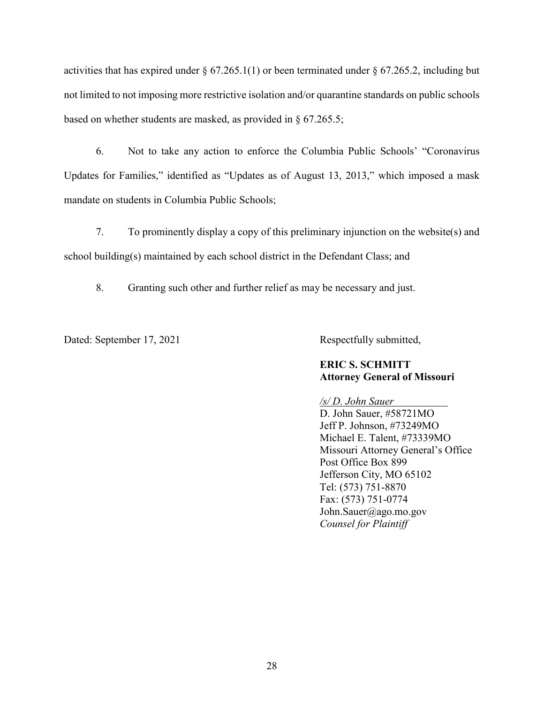activities that has expired under  $\S 67.265.1(1)$  or been terminated under  $\S 67.265.2$ , including but not limited to not imposing more restrictive isolation and/or quarantine standards on public schools based on whether students are masked, as provided in § 67.265.5;

6. Not to take any action to enforce the Columbia Public Schools' "Coronavirus Updates for Families," identified as "Updates as of August 13, 2013," which imposed a mask mandate on students in Columbia Public Schools;

7. To prominently display a copy of this preliminary injunction on the website(s) and school building(s) maintained by each school district in the Defendant Class; and

8. Granting such other and further relief as may be necessary and just.

Dated: September 17, 2021 Respectfully submitted,

## **ERIC S. SCHMITT Attorney General of Missouri**

*/s/ D. John Sauer*

D. John Sauer, #58721MO Jeff P. Johnson, #73249MO Michael E. Talent, #73339MO Missouri Attorney General's Office Post Office Box 899 Jefferson City, MO 65102 Tel: (573) 751-8870 Fax: (573) 751-0774 John.Sauer@ago.mo.gov *Counsel for Plaintiff*